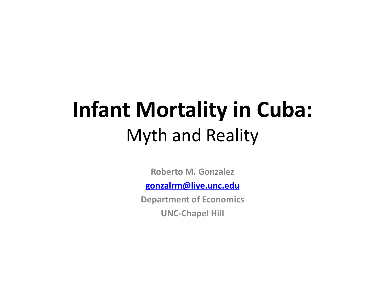#### **Infant Mortality in Cuba:** Myth and Reality

**Roberto M. Gonzalez [gonzalrm@live.unc.edu](mailto:gonzalrm@live.unc.edu) Department of Economics UNC-Chapel Hill**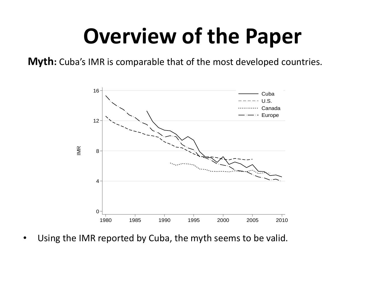### **Overview of the Paper**

**Myth:** Cuba's IMR is comparable that of the most developed countries.



• Using the IMR reported by Cuba, the myth seems to be valid.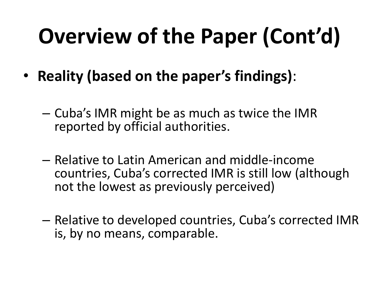# **Overview of the Paper (Cont'd)**

- **Reality (based on the paper's findings)**:
	- Cuba's IMR might be as much as twice the IMR reported by official authorities.
	- Relative to Latin American and middle-income countries, Cuba's corrected IMR is still low (although not the lowest as previously perceived)
	- Relative to developed countries, Cuba's corrected IMR is, by no means, comparable.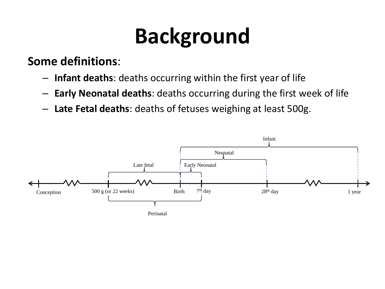# **Background**

#### **Some definitions**:

- **Infant deaths**: deaths occurring within the first year of life
- **Early Neonatal deaths**: deaths occurring during the first week of life
- **Late Fetal deaths**: deaths of fetuses weighing at least 500g.

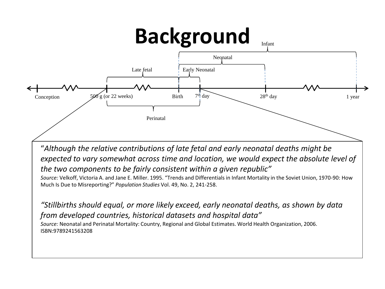

"*Although the relative contributions of late fetal and early neonatal deaths might be expected to vary somewhat across time and location, we would expect the absolute level of the two components to be fairly consistent within a given republic"* 

*Source:* Velkoff, Victoria A. and Jane E. Miller. 1995. "Trends and Differentials in Infant Mortality in the Soviet Union, 1970-90: How Much Is Due to Misreporting?" *Population Studies* Vol. 49, No. 2, 241-258.

*"Stillbirths should equal, or more likely exceed, early neonatal deaths, as shown by data from developed countries, historical datasets and hospital data"*

*Source:* Neonatal and Perinatal Mortality: Country, Regional and Global Estimates. World Health Organization, 2006. ISBN:9789241563208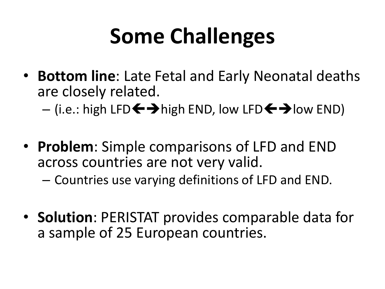# **Some Challenges**

• **Bottom line**: Late Fetal and Early Neonatal deaths are closely related.

– (i.e.: high LFD $\bigoplus$  **)** high END, low LFD $\bigoplus$  **)** low END)

- **Problem**: Simple comparisons of LFD and END across countries are not very valid.
	- Countries use varying definitions of LFD and END.
- **Solution**: PERISTAT provides comparable data for a sample of 25 European countries.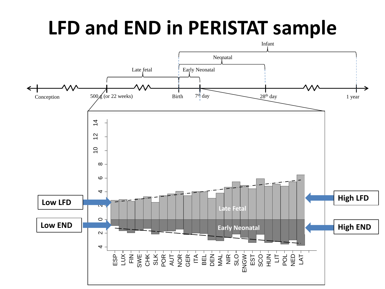#### **LFD and END in PERISTAT sample**

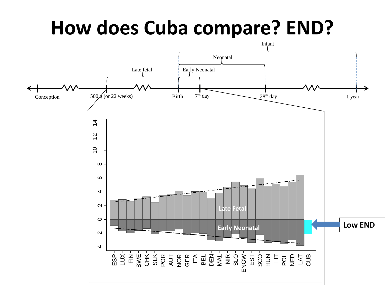#### **How does Cuba compare? END?**

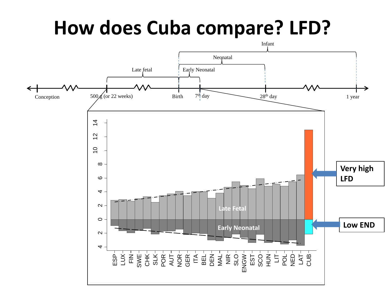#### **How does Cuba compare? LFD?**

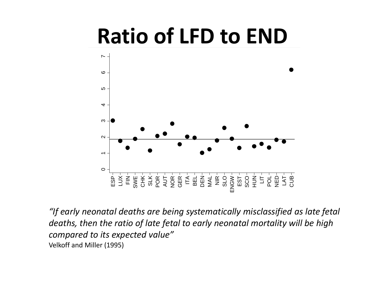#### **Ratio of LFD to END**



**Late Fetal** *"If early neonatal deaths are being systematically misclassified as late fetal*  **Early Neonatal** *deaths, then the ratio of late fetal to early neonatal mortality will be high compared to its expected value"*  Velkoff and Miller (1995)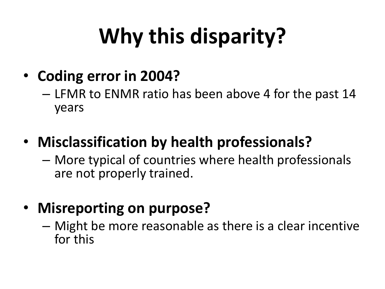# **Why this disparity?**

- **Coding error in 2004?**
	- LFMR to ENMR ratio has been above 4 for the past 14 years
- **Misclassification by health professionals?**
	- More typical of countries where health professionals are not properly trained.
- **Misreporting on purpose?**
	- Might be more reasonable as there is a clear incentive for this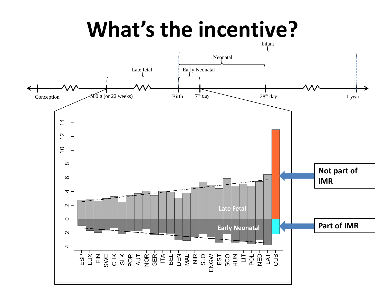#### **What's the incentive?**

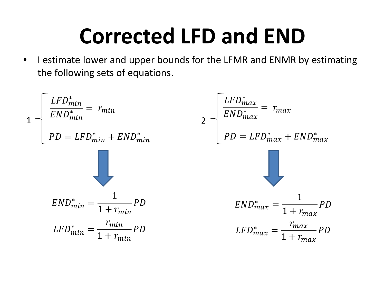## **Corrected LFD and END**

• I estimate lower and upper bounds for the LFMR and ENMR by estimating the following sets of equations.

$$
1 - \left[ \frac{LFD_{min}^{*}}{END_{min}^{*}} = r_{min} \right]
$$
\n
$$
1 - \left[ \frac{LFD_{max}^{*}}{END_{min}^{*}} + END_{min}^{*} \right]
$$
\n
$$
PD = LFD_{min}^{*} + END_{min}^{*}
$$
\n
$$
END_{min}^{*} = \frac{1}{1 + r_{min}} PD
$$
\n
$$
LFD_{min}^{*} = \frac{r_{min}}{1 + r_{min}} PD
$$
\n
$$
LFD_{max}^{*} = \frac{r_{max}}{1 + r_{max}} PD
$$
\n
$$
LFD_{max}^{*} = \frac{r_{max}}{1 + r_{max}} PD
$$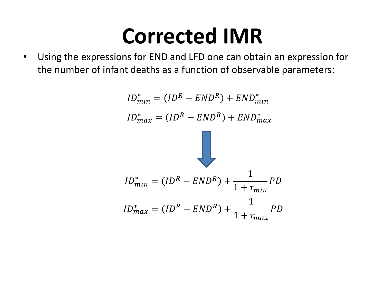#### **Corrected IMR**

• Using the expressions for END and LFD one can obtain an expression for the number of infant deaths as a function of observable parameters:

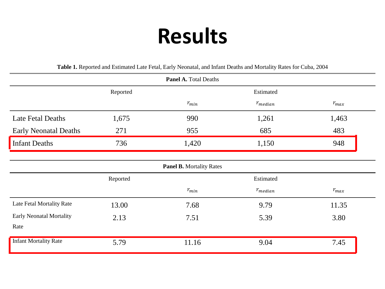#### **Results**

| Table 1. Reported and Estimated Late Fetal, Early Neonatal, and Infant Deaths and Mortality Rates for Cuba, 2004<br><b>Panel A.</b> Total Deaths |          |                                 |                  |           |
|--------------------------------------------------------------------------------------------------------------------------------------------------|----------|---------------------------------|------------------|-----------|
|                                                                                                                                                  |          |                                 |                  |           |
|                                                                                                                                                  |          | $r_{min}$                       | $r_{median}$     | $r_{max}$ |
| <b>Late Fetal Deaths</b>                                                                                                                         | 1,675    | 990                             | 1,261            | 1,463     |
| <b>Early Neonatal Deaths</b>                                                                                                                     | 271      | 955                             | 685              | 483       |
| <b>Infant Deaths</b>                                                                                                                             | 736      | 1,420                           | 1,150            | 948       |
|                                                                                                                                                  |          |                                 |                  |           |
|                                                                                                                                                  |          | <b>Panel B. Mortality Rates</b> |                  |           |
|                                                                                                                                                  | Reported |                                 | Estimated        |           |
|                                                                                                                                                  |          | $r_{min}$                       | $r_{\rm median}$ | $r_{max}$ |
| Late Fetal Mortality Rate                                                                                                                        | 13.00    | 7.68                            | 9.79             | 11.35     |
| <b>Early Neonatal Mortality</b>                                                                                                                  | 2.13     | 7.51                            | 5.39             | 3.80      |
| Rate                                                                                                                                             |          |                                 |                  |           |
| <b>Infant Mortality Rate</b>                                                                                                                     | 5.79     | 11.16                           | 9.04             | 7.45      |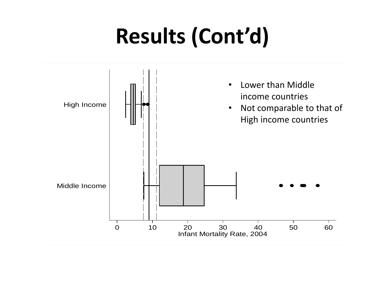# **Results (Cont'd)**

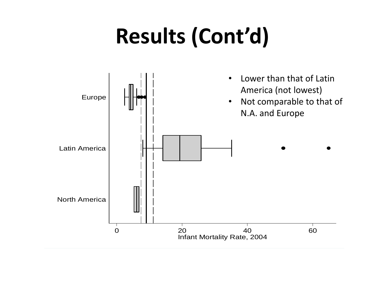# **Results (Cont'd)**